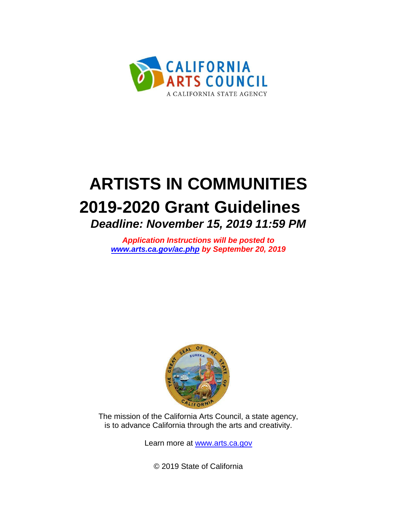

# **ARTISTS IN COMMUNITIES 2019-2020 Grant Guidelines**  *Deadline: November 15, 2019 11:59 PM*

*Application Instructions will be posted to www.arts.ca.gov/ac.php by September 20, 2019*



The mission of the California Arts Council, a state agency, is to advance California through the arts and creativity.

Learn more at [www.arts.ca.gov](http://www.arts.ca.gov/)

© 2019 State of California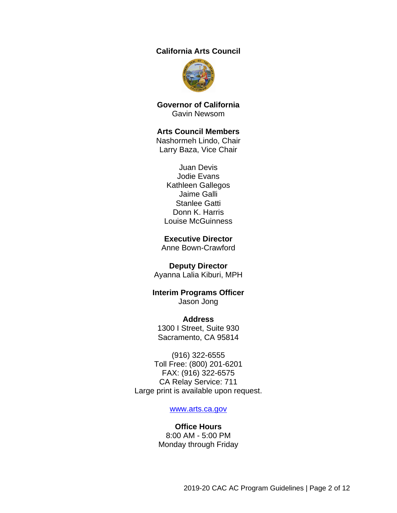#### **California Arts Council**



**Governor of California** Gavin Newsom

#### **Arts Council Members**

Nashormeh Lindo, Chair Larry Baza, Vice Chair

Juan Devis Jodie Evans Kathleen Gallegos Jaime Galli Stanlee Gatti Donn K. Harris Louise McGuinness

#### **Executive Director**

Anne Bown-Crawford

#### **Deputy Director**

Ayanna Lalia Kiburi, MPH

#### **Interim Programs Officer** Jason Jong

**Address** 1300 I Street, Suite 930 Sacramento, CA 95814

(916) 322-6555 Toll Free: (800) 201-6201 FAX: (916) 322-6575 CA Relay Service: 711 Large print is available upon request.

#### [www.arts.ca.gov](http://www.arts.ca.gov/)

#### **Office Hours** 8:00 AM - 5:00 PM Monday through Friday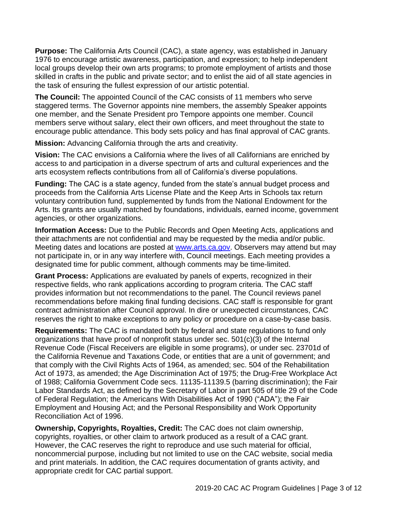**Purpose:** The California Arts Council (CAC), a state agency, was established in January 1976 to encourage artistic awareness, participation, and expression; to help independent local groups develop their own arts programs; to promote employment of artists and those skilled in crafts in the public and private sector; and to enlist the aid of all state agencies in the task of ensuring the fullest expression of our artistic potential.

**The Council:** The appointed Council of the CAC consists of 11 members who serve staggered terms. The Governor appoints nine members, the assembly Speaker appoints one member, and the Senate President pro Tempore appoints one member. Council members serve without salary, elect their own officers, and meet throughout the state to encourage public attendance. This body sets policy and has final approval of CAC grants.

**Mission:** Advancing California through the arts and creativity.

**Vision:** The CAC envisions a California where the lives of all Californians are enriched by access to and participation in a diverse spectrum of arts and cultural experiences and the arts ecosystem reflects contributions from all of California's diverse populations.

**Funding:** The CAC is a state agency, funded from the state's annual budget process and proceeds from the California Arts License Plate and the Keep Arts in Schools tax return voluntary contribution fund, supplemented by funds from the National Endowment for the Arts. Its grants are usually matched by foundations, individuals, earned income, government agencies, or other organizations.

**Information Access:** Due to the Public Records and Open Meeting Acts, applications and their attachments are not confidential and may be requested by the media and/or public. Meeting dates and locations are posted at [www.arts.ca.gov.](http://www.arts.ca.gov/) Observers may attend but may not participate in, or in any way interfere with, Council meetings. Each meeting provides a designated time for public comment, although comments may be time-limited.

**Grant Process:** Applications are evaluated by panels of experts, recognized in their respective fields, who rank applications according to program criteria. The CAC staff provides information but not recommendations to the panel. The Council reviews panel recommendations before making final funding decisions. CAC staff is responsible for grant contract administration after Council approval. In dire or unexpected circumstances, CAC reserves the right to make exceptions to any policy or procedure on a case-by-case basis.

<span id="page-2-0"></span>**Requirements:** The CAC is mandated both by federal and state regulations to fund only organizations that have proof of nonprofit status under sec. 501(c)(3) of the Internal Revenue Code (Fiscal Receivers are eligible in some programs), or under sec. 23701d of the California Revenue and Taxations Code, or entities that are a unit of government; and that comply with the Civil Rights Acts of 1964, as amended; sec. 504 of the Rehabilitation Act of 1973, as amended; the Age Discrimination Act of 1975; the Drug-Free Workplace Act of 1988; California Government Code secs. 11135-11139.5 (barring discrimination); the Fair Labor Standards Act, as defined by the Secretary of Labor in part 505 of title 29 of the Code of Federal Regulation; the Americans With Disabilities Act of 1990 ("ADA"); the Fair Employment and Housing Act; and the Personal Responsibility and Work Opportunity Reconciliation Act of 1996.

**Ownership, Copyrights, Royalties, Credit:** The CAC does not claim ownership, copyrights, royalties, or other claim to artwork produced as a result of a CAC grant. However, the CAC reserves the right to reproduce and use such material for official, noncommercial purpose, including but not limited to use on the CAC website, social media and print materials. In addition, the CAC requires documentation of grants activity, and appropriate credit for CAC partial support.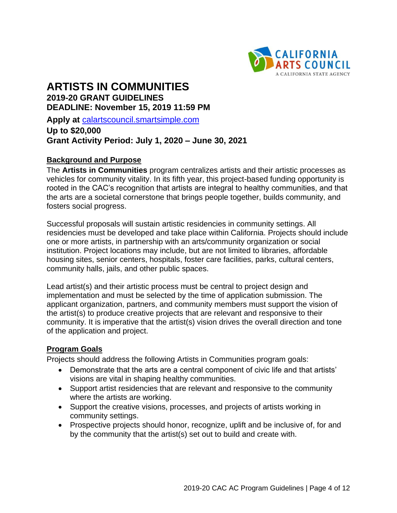

# **ARTISTS IN COMMUNITIES 2019-20 GRANT GUIDELINES DEADLINE: November 15, 2019 11:59 PM**

**Apply at** [calartscouncil.smartsimple.com](https://calartscouncil.smartsimple.com/s_Login.jsp)

# **Up to \$20,000 Grant Activity Period: July 1, 2020 – June 30, 2021**

#### **Background and Purpose**

The **Artists in Communities** program centralizes artists and their artistic processes as vehicles for community vitality. In its fifth year, this project-based funding opportunity is rooted in the CAC's recognition that artists are integral to healthy communities, and that the arts are a societal cornerstone that brings people together, builds community, and fosters social progress.

Successful proposals will sustain artistic residencies in community settings. All residencies must be developed and take place within California. Projects should include one or more artists, in partnership with an arts/community organization or social institution. Project locations may include, but are not limited to libraries, affordable housing sites, senior centers, hospitals, foster care facilities, parks, cultural centers, community halls, jails, and other public spaces.

Lead artist(s) and their artistic process must be central to project design and implementation and must be selected by the time of application submission. The applicant organization, partners, and community members must support the vision of the artist(s) to produce creative projects that are relevant and responsive to their community. It is imperative that the artist(s) vision drives the overall direction and tone of the application and project.

#### **Program Goals**

Projects should address the following Artists in Communities program goals:

- Demonstrate that the arts are a central component of civic life and that artists' visions are vital in shaping healthy communities.
- Support artist residencies that are relevant and responsive to the community where the artists are working.
- Support the creative visions, processes, and projects of artists working in community settings.
- Prospective projects should honor, recognize, uplift and be inclusive of, for and by the community that the artist(s) set out to build and create with.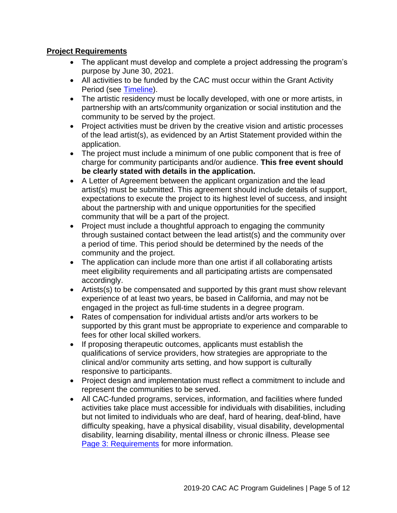## **Project Requirements**

- The applicant must develop and complete a project addressing the program's purpose by June 30, 2021.
- All activities to be funded by the CAC must occur within the Grant Activity Period (see [Timeline\)](#page-9-0).
- The artistic residency must be locally developed, with one or more artists, in partnership with an arts/community organization or social institution and the community to be served by the project.
- Project activities must be driven by the creative vision and artistic processes of the lead artist(s), as evidenced by an Artist Statement provided within the application.
- The project must include a minimum of one public component that is free of charge for community participants and/or audience. **This free event should be clearly stated with details in the application.**
- A Letter of Agreement between the applicant organization and the lead artist(s) must be submitted. This agreement should include details of support, expectations to execute the project to its highest level of success, and insight about the partnership with and unique opportunities for the specified community that will be a part of the project.
- Project must include a thoughtful approach to engaging the community through sustained contact between the lead artist(s) and the community over a period of time. This period should be determined by the needs of the community and the project.
- The application can include more than one artist if all collaborating artists meet eligibility requirements and all participating artists are compensated accordingly.
- Artists(s) to be compensated and supported by this grant must show relevant experience of at least two years, be based in California, and may not be engaged in the project as full-time students in a degree program.
- Rates of compensation for individual artists and/or arts workers to be supported by this grant must be appropriate to experience and comparable to fees for other local skilled workers.
- If proposing therapeutic outcomes, applicants must establish the qualifications of service providers, how strategies are appropriate to the clinical and/or community arts setting, and how support is culturally responsive to participants.
- Project design and implementation must reflect a commitment to include and represent the communities to be served.
- All CAC-funded programs, services, information, and facilities where funded activities take place must accessible for individuals with disabilities, including but not limited to individuals who are deaf, hard of hearing, deaf-blind, have difficulty speaking, have a physical disability, visual disability, developmental disability, learning disability, mental illness or chronic illness. Please see [Page 3: Requirements](#page-2-0) for more information.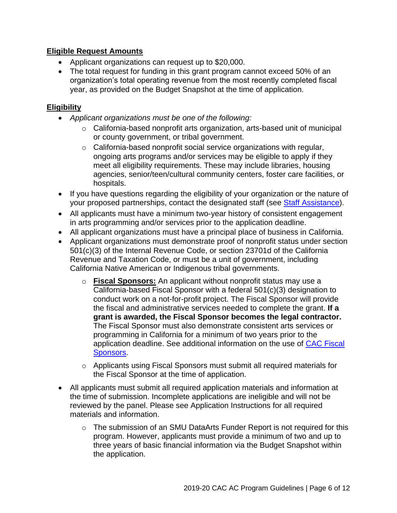## **Eligible Request Amounts**

- Applicant organizations can request up to \$20,000.
- The total request for funding in this grant program cannot exceed 50% of an organization's total operating revenue from the most recently completed fiscal year, as provided on the Budget Snapshot at the time of application.

### **Eligibility**

- *Applicant organizations must be one of the following:*
	- o California-based nonprofit arts organization, arts-based unit of municipal or county government, or tribal government.
	- o California-based nonprofit social service organizations with regular, ongoing arts programs and/or services may be eligible to apply if they meet all eligibility requirements. These may include libraries, housing agencies, senior/teen/cultural community centers, foster care facilities, or hospitals.
- If you have questions regarding the eligibility of your organization or the nature of your proposed partnerships, contact the designated staff (see [Staff Assistance\)](#page-10-0).
- All applicants must have a minimum two-year history of consistent engagement in arts programming and/or services prior to the application deadline.
- All applicant organizations must have a principal place of business in California.
- Applicant organizations must demonstrate proof of nonprofit status under section 501(c)(3) of the Internal Revenue Code, or section 23701d of the California Revenue and Taxation Code, or must be a unit of government, including California Native American or Indigenous tribal governments.
	- o **Fiscal Sponsors:** An applicant without nonprofit status may use a California-based Fiscal Sponsor with a federal 501(c)(3) designation to conduct work on a not-for-profit project. The Fiscal Sponsor will provide the fiscal and administrative services needed to complete the grant. **If a grant is awarded, the Fiscal Sponsor becomes the legal contractor.** The Fiscal Sponsor must also demonstrate consistent arts services or programming in California for a minimum of two years prior to the application deadline. See additional information on the use of [CAC Fiscal](http://arts.ca.gov/programs/program_files/shared_files/CAC%20Fiscal%20Sponsor%20Information.pdf)  [Sponsors.](http://arts.ca.gov/programs/program_files/shared_files/CAC%20Fiscal%20Sponsor%20Information.pdf)
	- o Applicants using Fiscal Sponsors must submit all required materials for the Fiscal Sponsor at the time of application.
- All applicants must submit all required application materials and information at the time of submission. Incomplete applications are ineligible and will not be reviewed by the panel. Please see Application Instructions for all required materials and information.
	- o The submission of an SMU DataArts Funder Report is not required for this program. However, applicants must provide a minimum of two and up to three years of basic financial information via the Budget Snapshot within the application.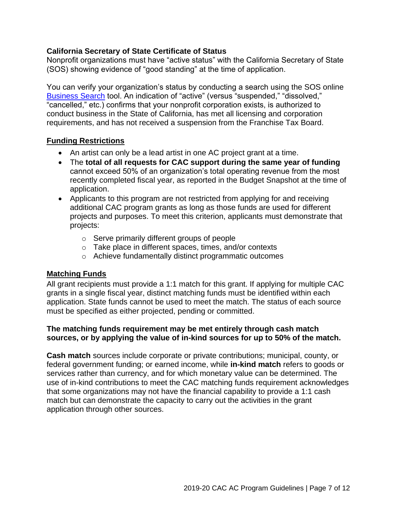#### **California Secretary of State Certificate of Status**

Nonprofit organizations must have "active status" with the California Secretary of State (SOS) showing evidence of "good standing" at the time of application.

You can verify your organization's status by conducting a search using the SOS online [Business Search](https://businesssearch.sos.ca.gov/) tool. An indication of "active" (versus "suspended," "dissolved," "cancelled," etc.) confirms that your nonprofit corporation exists, is authorized to conduct business in the State of California, has met all licensing and corporation requirements, and has not received a suspension from the Franchise Tax Board.

#### **Funding Restrictions**

- An artist can only be a lead artist in one AC project grant at a time.
- The **total of all requests for CAC support during the same year of funding** cannot exceed 50% of an organization's total operating revenue from the most recently completed fiscal year, as reported in the Budget Snapshot at the time of application.
- Applicants to this program are not restricted from applying for and receiving additional CAC program grants as long as those funds are used for different projects and purposes. To meet this criterion, applicants must demonstrate that projects:
	- o Serve primarily different groups of people
	- o Take place in different spaces, times, and/or contexts
	- o Achieve fundamentally distinct programmatic outcomes

## **Matching Funds**

All grant recipients must provide a 1:1 match for this grant. If applying for multiple CAC grants in a single fiscal year, distinct matching funds must be identified within each application. State funds cannot be used to meet the match. The status of each source must be specified as either projected, pending or committed.

#### **The matching funds requirement may be met entirely through cash match sources, or by applying the value of in-kind sources for up to 50% of the match.**

**Cash match** sources include corporate or private contributions; municipal, county, or federal government funding; or earned income, while **in-kind match** refers to goods or services rather than currency, and for which monetary value can be determined. The use of in-kind contributions to meet the CAC matching funds requirement acknowledges that some organizations may not have the financial capability to provide a 1:1 cash match but can demonstrate the capacity to carry out the activities in the grant application through other sources.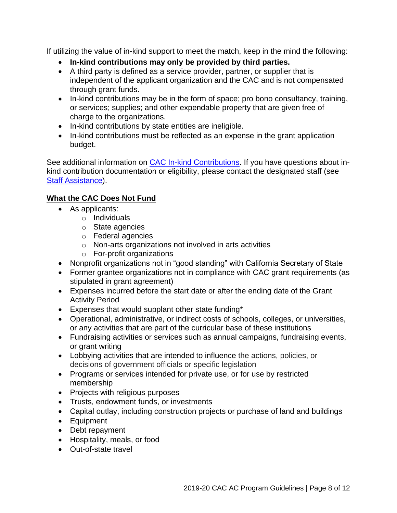If utilizing the value of in-kind support to meet the match, keep in the mind the following:

- **In-kind contributions may only be provided by third parties.**
- A third party is defined as a service provider, partner, or supplier that is independent of the applicant organization and the CAC and is not compensated through grant funds.
- In-kind contributions may be in the form of space; pro bono consultancy, training, or services; supplies; and other expendable property that are given free of charge to the organizations.
- In-kind contributions by state entities are ineligible.
- In-kind contributions must be reflected as an expense in the grant application budget.

See additional information on [CAC In-kind Contributions.](http://arts.ca.gov/programs/program_files/shared_files/CAC%20In-Kind%20Contribution%20Information.pdf) If you have questions about inkind contribution documentation or eligibility, please contact the designated staff (see [Staff Assistance\)](#page-10-0).

# **What the CAC Does Not Fund**

- As applicants:
	- o Individuals
	- o State agencies
	- o Federal agencies
	- o Non-arts organizations not involved in arts activities
	- o For-profit organizations
- Nonprofit organizations not in "good standing" with California Secretary of State
- Former grantee organizations not in compliance with CAC grant requirements (as stipulated in grant agreement)
- Expenses incurred before the start date or after the ending date of the Grant Activity Period
- Expenses that would supplant other state funding\*
- Operational, administrative, or indirect costs of schools, colleges, or universities, or any activities that are part of the curricular base of these institutions
- Fundraising activities or services such as annual campaigns, fundraising events, or grant writing
- Lobbying activities that are intended to influence the actions, policies, or decisions of government officials or specific legislation
- Programs or services intended for private use, or for use by restricted membership
- Projects with religious purposes
- Trusts, endowment funds, or investments
- Capital outlay, including construction projects or purchase of land and buildings
- Equipment
- Debt repayment
- Hospitality, meals, or food
- Out-of-state travel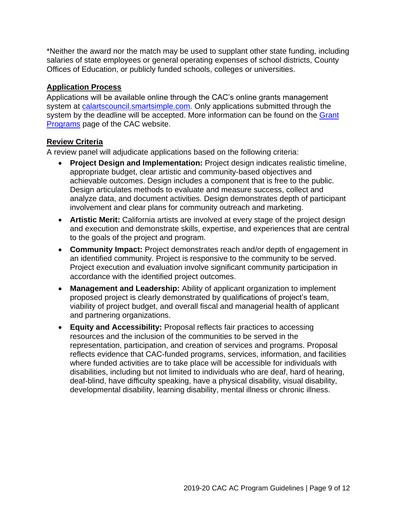\*Neither the award nor the match may be used to supplant other state funding, including salaries of state employees or general operating expenses of school districts, County Offices of Education, or publicly funded schools, colleges or universities.

#### **Application Process**

Applications will be available online through the CAC's online grants management system at [calartscouncil.smartsimple.com.](https://calartscouncil.smartsimple.com/s_Login.jsp) Only applications submitted through the system by the deadline will be accepted. More information can be found on the Grant [Programs](http://arts.ca.gov/programs/app.php) page of the CAC website.

#### **Review Criteria**

A review panel will adjudicate applications based on the following criteria:

- **Project Design and Implementation:** Project design indicates realistic timeline, appropriate budget, clear artistic and community-based objectives and achievable outcomes. Design includes a component that is free to the public. Design articulates methods to evaluate and measure success, collect and analyze data, and document activities. Design demonstrates depth of participant involvement and clear plans for community outreach and marketing.
- **Artistic Merit:** California artists are involved at every stage of the project design and execution and demonstrate skills, expertise, and experiences that are central to the goals of the project and program.
- **Community Impact:** Project demonstrates reach and/or depth of engagement in an identified community. Project is responsive to the community to be served. Project execution and evaluation involve significant community participation in accordance with the identified project outcomes.
- **Management and Leadership:** Ability of applicant organization to implement proposed project is clearly demonstrated by qualifications of project's team, viability of project budget, and overall fiscal and managerial health of applicant and partnering organizations.
- **Equity and Accessibility:** Proposal reflects fair practices to accessing resources and the inclusion of the communities to be served in the representation, participation, and creation of services and programs. Proposal reflects evidence that CAC-funded programs, services, information, and facilities where funded activities are to take place will be accessible for individuals with disabilities, including but not limited to individuals who are deaf, hard of hearing, deaf-blind, have difficulty speaking, have a physical disability, visual disability, developmental disability, learning disability, mental illness or chronic illness.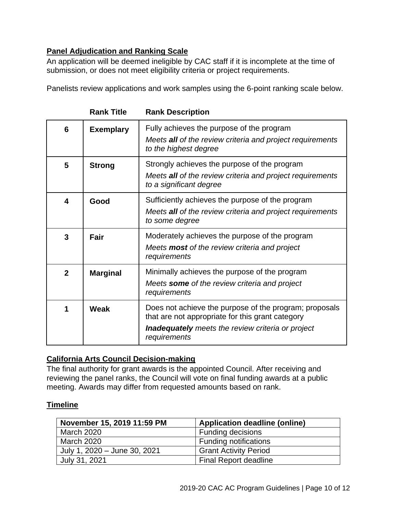# **Panel Adjudication and Ranking Scale**

An application will be deemed ineligible by CAC staff if it is incomplete at the time of submission, or does not meet eligibility criteria or project requirements.

Panelists review applications and work samples using the 6-point ranking scale below.

| 6            | <b>Exemplary</b> | Fully achieves the purpose of the program<br>Meets all of the review criteria and project requirements<br>to the highest degree                                                        |
|--------------|------------------|----------------------------------------------------------------------------------------------------------------------------------------------------------------------------------------|
| 5            | <b>Strong</b>    | Strongly achieves the purpose of the program<br>Meets all of the review criteria and project requirements<br>to a significant degree                                                   |
| 4            | Good             | Sufficiently achieves the purpose of the program<br>Meets all of the review criteria and project requirements<br>to some degree                                                        |
| 3            | Fair             | Moderately achieves the purpose of the program<br>Meets <b>most</b> of the review criteria and project<br>requirements                                                                 |
| $\mathbf{2}$ | <b>Marginal</b>  | Minimally achieves the purpose of the program<br>Meets some of the review criteria and project<br>requirements                                                                         |
|              | <b>Weak</b>      | Does not achieve the purpose of the program; proposals<br>that are not appropriate for this grant category<br><b>Inadequately</b> meets the review criteria or project<br>requirements |

**Rank Title Rank Description**

#### **California Arts Council Decision-making**

The final authority for grant awards is the appointed Council. After receiving and reviewing the panel ranks, the Council will vote on final funding awards at a public meeting. Awards may differ from requested amounts based on rank.

## <span id="page-9-0"></span>**Timeline**

| November 15, 2019 11:59 PM   | <b>Application deadline (online)</b> |
|------------------------------|--------------------------------------|
| <b>March 2020</b>            | <b>Funding decisions</b>             |
| March 2020                   | <b>Funding notifications</b>         |
| July 1, 2020 - June 30, 2021 | <b>Grant Activity Period</b>         |
| July 31, 2021                | <b>Final Report deadline</b>         |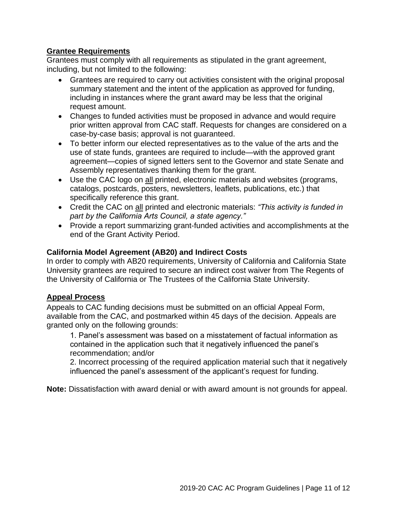#### **Grantee Requirements**

Grantees must comply with all requirements as stipulated in the grant agreement, including, but not limited to the following:

- Grantees are required to carry out activities consistent with the original proposal summary statement and the intent of the application as approved for funding, including in instances where the grant award may be less that the original request amount.
- Changes to funded activities must be proposed in advance and would require prior written approval from CAC staff. Requests for changes are considered on a case-by-case basis; approval is not guaranteed.
- To better inform our elected representatives as to the value of the arts and the use of state funds, grantees are required to include—with the approved grant agreement—copies of signed letters sent to the Governor and state Senate and Assembly representatives thanking them for the grant.
- Use the CAC logo on all printed, electronic materials and websites (programs, catalogs, postcards, posters, newsletters, leaflets, publications, etc.) that specifically reference this grant.
- Credit the CAC on all printed and electronic materials: *"This activity is funded in part by the California Arts Council, a state agency."*
- Provide a report summarizing grant-funded activities and accomplishments at the end of the Grant Activity Period.

#### **California Model Agreement (AB20) and Indirect Costs**

In order to comply with AB20 requirements, University of California and California State University grantees are required to secure an indirect cost waiver from The Regents of the University of California or The Trustees of the California State University.

#### **Appeal Process**

Appeals to CAC funding decisions must be submitted on an official Appeal Form, available from the CAC, and postmarked within 45 days of the decision. Appeals are granted only on the following grounds:

1. Panel's assessment was based on a misstatement of factual information as contained in the application such that it negatively influenced the panel's recommendation; and/or

2. Incorrect processing of the required application material such that it negatively influenced the panel's assessment of the applicant's request for funding.

<span id="page-10-0"></span>**Note:** Dissatisfaction with award denial or with award amount is not grounds for appeal.